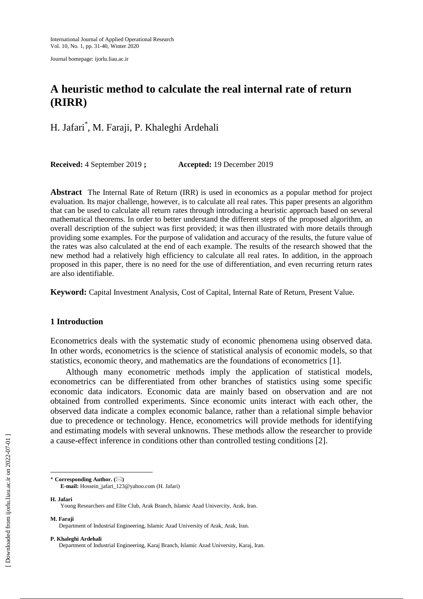Journal homepage: ijorlu.liau.ac.ir

# **A heuristic method to calculate the real internal rate of return (RIRR)**

H. Jafari\* , M. Faraji, P. Khaleghi Ardehali

**Received:** 4 September 2019 **; Accepted:** 19 December 2019

**Abstract** The Internal Rate of Return (IRR) is used in economics as a popular method for project evaluation. Its major challenge, however, is to calculate all real rates. This paper presents an algorithm that can be used to calculate all return rates through introducing a heuristic approach based on several mathematical theorems. In order to better understand the different steps of the proposed algorithm, an overall description of the subject was first provided; it was then illustrated with more details through providing some examples. For the purpose of validation and accuracy of the results, the future value of the rates was also calculated at the end of each example. The results of the research showed that the new method had a relatively high efficiency to calculate all real rates. In addition, in the approach proposed in this paper, there is no need for the use of differentiation, and even recurring return rates are also identifiable.

**Keyword:** Capital Investment Analysis, Cost of Capital, Internal Rate of Return, Present Value.

# **1 Introduction**

Econometrics deals with the systematic study of economic phenomena using observed data. In other words, econometrics is the science of statistical analysis of economic models, so that statistics, economic theory, and mathematics are the foundations of econometrics [1].

Although many econometric methods imply the application of statistical models, econometrics can be differentiated from other branches of statistics using some specific economic data indicators. Economic data are mainly based on observation and are not obtained from controlled experiments. Since economic units interact with each other, the observed data indicate a complex economic balance, rather than a relational simple behavior due to precedence or technology. Hence, econometrics will provide methods for identifying and estimating models with several unknowns. These methods allow the researcher to provide a cause-effect inference in conditions other than controlled testing conditions [2].

**E-mail:** Hossein\_jafari\_123@yahoo.com (H. Jafari)

**H. Jafari**

 $\overline{\phantom{a}}$ 

**M. Faraji**

#### **P. Khaleghi Ardehali**

<sup>\*</sup> **Corresponding Author. ()**

Young Researchers and Elite Club, Arak Branch, Islamic Azad Univercity, Arak, Iran.

Department of Industrial Engineering, Islamic Azad University of Arak, Arak, Iran.

Department of Industrial Engineering, Karaj Branch, Islamic Azad University, Karaj, Iran.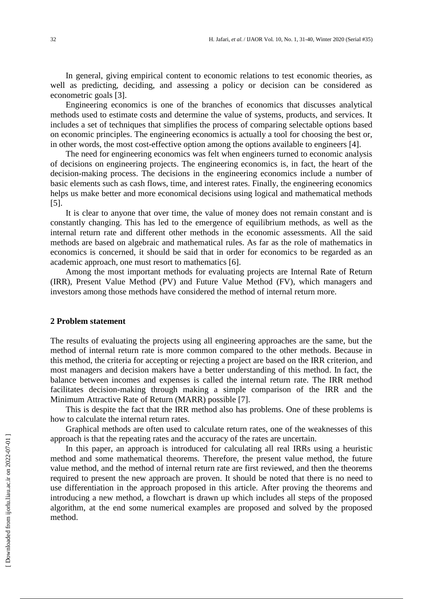In general, giving empirical content to economic relations to test economic theories, as well as predicting, deciding, and assessing a policy or decision can be considered as econometric goals [3].

Engineering economics is one of the branches of economics that discusses analytical methods used to estimate costs and determine the value of systems, products, and services. It includes a set of techniques that simplifies the process of comparing selectable options based on economic principles. The engineering economics is actually a tool for choosing the best or, in other words, the most cost-effective option among the options available to engineers [4].

The need for engineering economics was felt when engineers turned to economic analysis of decisions on engineering projects. The engineering economics is, in fact, the heart of the decision-making process. The decisions in the engineering economics include a number of basic elements such as cash flows, time, and interest rates. Finally, the engineering economics helps us make better and more economical decisions using logical and mathematical methods [5].

It is clear to anyone that over time, the value of money does not remain constant and is constantly changing. This has led to the emergence of equilibrium methods, as well as the internal return rate and different other methods in the economic assessments. All the said methods are based on algebraic and mathematical rules. As far as the role of mathematics in economics is concerned, it should be said that in order for economics to be regarded as an academic approach, one must resort to mathematics [6].

Among the most important methods for evaluating projects are Internal Rate of Return (IRR), Present Value Method (PV) and Future Value Method (FV), which managers and investors among those methods have considered the method of internal return more.

#### **2 Problem statement**

The results of evaluating the projects using all engineering approaches are the same, but the method of internal return rate is more common compared to the other methods. Because in this method, the criteria for accepting or rejecting a project are based on the IRR criterion, and most managers and decision makers have a better understanding of this method. In fact, the balance between incomes and expenses is called the internal return rate. The IRR method facilitates decision-making through making a simple comparison of the IRR and the Minimum Attractive Rate of Return (MARR) possible [7].

This is despite the fact that the IRR method also has problems. One of these problems is how to calculate the internal return rates.

Graphical methods are often used to calculate return rates, one of the weaknesses of this approach is that the repeating rates and the accuracy of the rates are uncertain.

In this paper, an approach is introduced for calculating all real IRRs using a heuristic method and some mathematical theorems. Therefore, the present value method, the future value method, and the method of internal return rate are first reviewed, and then the theorems required to present the new approach are proven. It should be noted that there is no need to use differentiation in the approach proposed in this article. After proving the theorems and introducing a new method, a flowchart is drawn up which includes all steps of the proposed algorithm, at the end some numerical examples are proposed and solved by the proposed method.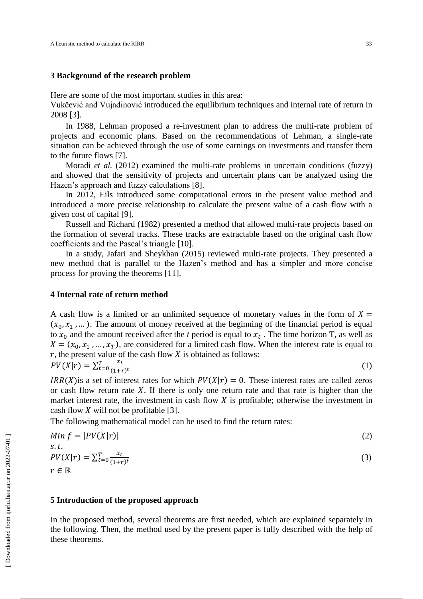## **3 Background of the research problem**

Here are some of the most important studies in this area:

Vukčević and Vujadinović introduced the equilibrium techniques and internal rate of return in 2008 [3].

In 1988, Lehman proposed a re-investment plan to address the multi-rate problem of projects and economic plans. Based on the recommendations of Lehman, a single-rate situation can be achieved through the use of some earnings on investments and transfer them to the future flows [7].

Moradi *et al.* (2012) examined the multi-rate problems in uncertain conditions (fuzzy) and showed that the sensitivity of projects and uncertain plans can be analyzed using the Hazen's approach and fuzzy calculations [8].

In 2012, Eils introduced some computational errors in the present value method and introduced a more precise relationship to calculate the present value of a cash flow with a given cost of capital [9].

Russell and Richard (1982) presented a method that allowed multi-rate projects based on the formation of several tracks. These tracks are extractable based on the original cash flow coefficients and the Pascal's triangle [10].

In a study, Jafari and Sheykhan (2015) reviewed multi-rate projects. They presented a new method that is parallel to the Hazen's method and has a simpler and more concise process for proving the theorems [11].

# **4 Internal rate of return method**

A cash flow is a limited or an unlimited sequence of monetary values in the form of  $X =$  $(x_0, x_1, \dots)$ . The amount of money received at the beginning of the financial period is equal to  $x_0$  and the amount received after the *t* period is equal to  $x_t$ . The time horizon T, as well as  $X = (x_0, x_1, ..., x_T)$ , are considered for a limited cash flow. When the interest rate is equal to  $r$ , the present value of the cash flow  $X$  is obtained as follows:

$$
PV(X|r) = \sum_{t=0}^{T} \frac{x_t}{(1+r)^t}
$$
 (1)

 $IRR(X)$  is a set of interest rates for which  $PV(X|r) = 0$ . These interest rates are called zeros or cash flow return rate  $X$ . If there is only one return rate and that rate is higher than the market interest rate, the investment in cash flow  $X$  is profitable; otherwise the investment in cash flow  $X$  will not be profitable [3].

The following mathematical model can be used to find the return rates:

$$
Min f = |PV(X|r)|
$$
  
s.t.  

$$
PV(X|r) = \sum_{t=0}^{T} \frac{x_t}{(1+r)^t}
$$
 (2)

 $r \in \mathbb{R}$ 

#### **5 Introduction of the proposed approach**

In the proposed method, several theorems are first needed, which are explained separately in the following. Then, the method used by the present paper is fully described with the help of these theorems.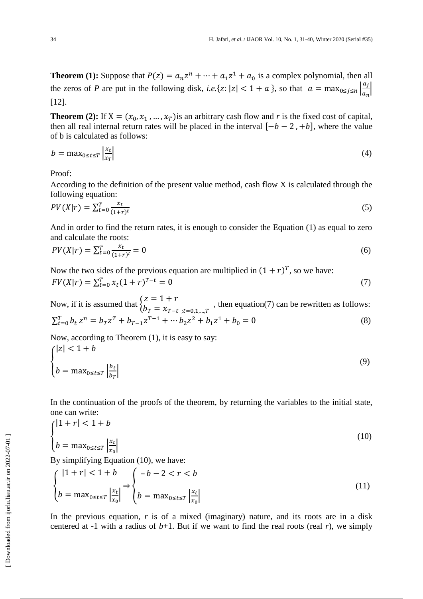**Theorem (1):** Suppose that  $P(z) = a_n z^n + \dots + a_1 z^1 + a_0$  is a complex polynomial, then all the zeros of *P* are put in the following disk, *i.e.*{ $z: |z| < 1 + a$ }, so that  $a = \max_{0 \le i \le n} \left| \frac{a}{z} \right|$  $\frac{a_j}{a_n}$ [12].

**Theorem (2):** If  $X = (x_0, x_1, ..., x_T)$  is an arbitrary cash flow and *r* is the fixed cost of capital, then all real internal return rates will be placed in the interval  $[-b - 2, +b]$ , where the value of b is calculated as follows:

$$
b = \max_{0 \le t \le T} \left| \frac{x_t}{x_T} \right| \tag{4}
$$

Proof:

According to the definition of the present value method, cash flow X is calculated through the following equation:

$$
PV(X|r) = \sum_{t=0}^{T} \frac{x_t}{(1+r)^t}
$$
\n<sup>(5)</sup>

And in order to find the return rates, it is enough to consider the Equation (1) as equal to zero and calculate the roots:

$$
PV(X|r) = \sum_{t=0}^{T} \frac{x_t}{(1+r)^t} = 0
$$
\n(6)

Now the two sides of the previous equation are multiplied in  $(1 + r)^T$ , so we have:  $FV(X|r) = \sum_{t=0}^{T} x_t (1+r)^T$ (7)

Now, if it is assumed that  $\{$ Z  $b_T = x_{T-t}$ : $t=0.1,...T$ , then equation(7) can be rewritten as follows:  $\sum_{t=0}^{T} b_t z^n = b_T z^T + b_{T-1} z^{T-1} + \cdots b_2 z^2 + b_1 z^1 + b_0 = 0$  (8)

Now, according to Theorem (1), it is easy to say:

$$
\begin{cases} |z| < 1 + b \\ b = \max_{0 \le t \le T} \left| \frac{b_t}{b_T} \right| \end{cases} \tag{9}
$$

In the continuation of the proofs of the theorem, by returning the variables to the initial state, one can write:  $\mathbf{A}$  and  $\mathbf{A}$  and  $\mathbf{A}$  and  $\mathbf{A}$ 

$$
\begin{cases} |1+r| < 1+b\\ b = \max_{0 \le t \le T} \left| \frac{x_t}{x_0} \right| \end{cases} \tag{10}
$$

By simplifying Equation (10), we have:

$$
\begin{cases} |1+r| < 1+b \\ b = \max_{0 \le t \le T} \left| \frac{x_t}{x_0} \right| \end{cases} \Rightarrow \begin{cases} -b - 2 < r < b \\ b = \max_{0 \le t \le T} \left| \frac{x_t}{x_0} \right| \end{cases} \tag{11}
$$

In the previous equation, *r* is of a mixed (imaginary) nature, and its roots are in a disk centered at -1 with a radius of  $b+1$ . But if we want to find the real roots (real *r*), we simply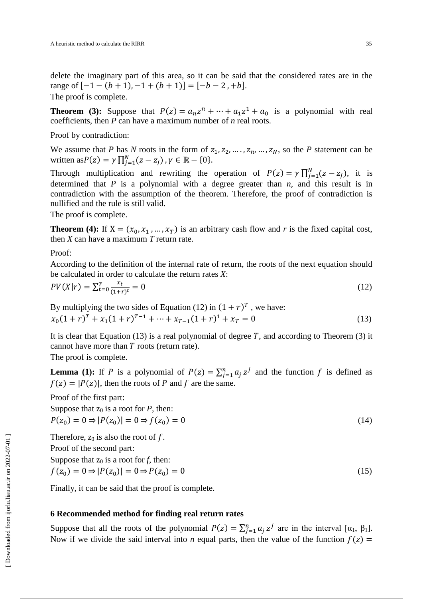delete the imaginary part of this area, so it can be said that the considered rates are in the range of  $[-1 - (b + 1), -1 + (b + 1)] = [-b - 2, +b]$ . The proof is complete.

**Theorem (3):** Suppose that  $P(z) = a_n z^n + \dots + a_1 z^1 + a_0$  is a polynomial with real coefficients, then *P* can have a maximum number of *n* real roots.

Proof by contradiction:

We assume that *P* has *N* roots in the form of  $z_1, z_2, ..., z_n, ..., z_N$ , so the *P* statement can be written as  $P(z) = \gamma \prod_{j=1}^{N} (z - z_j)$ ,  $\gamma \in \mathbb{R} - \{0\}$ .

Through multiplication and rewriting the operation of  $P(z) = \gamma \prod_{j=1}^{N} (z - z_j)$ , it is determined that  $P$  is a polynomial with a degree greater than  $n$ , and this result is in contradiction with the assumption of the theorem. Therefore, the proof of contradiction is nullified and the rule is still valid.

The proof is complete.

**Theorem (4):** If  $X = (x_0, x_1, ..., x_T)$  is an arbitrary cash flow and *r* is the fixed capital cost, then *X* can have a maximum *T* return rate.

Proof:

According to the definition of the internal rate of return, the roots of the next equation should be calculated in order to calculate the return rates *X*:

$$
PV(X|r) = \sum_{t=0}^{T} \frac{x_t}{(1+r)^t} = 0
$$
\n(12)

By multiplying the two sides of Equation (12) in  $(1 + r)^T$ , we have:  $x_0(1+r)^T + x_1(1+r)^{T-1} + \dots + x_{T-1}(1+r)^1 + x_T = 0$  (13)

It is clear that Equation (13) is a real polynomial of degree  $T$ , and according to Theorem (3) it cannot have more than  $T$  roots (return rate).

The proof is complete.

**Lemma (1):** If P is a polynomial of  $P(z) = \sum_{j=1}^{n} a_j z^j$  and the function f is defined as  $f(z) = |P(z)|$ , then the roots of P and f are the same.

Proof of the first part:

Suppose that  $z_0$  is a root for *P*, then:  $P(z_0) = 0 \Rightarrow |P(z_0)| = 0 \Rightarrow f$  $) = 0$  (14)

Therefore,  $z_0$  is also the root of  $f$ . Proof of the second part:

Suppose that  $z_0$  is a root for  $f$ , then:

$$
f(z_0) = 0 \Rightarrow |P(z_0)| = 0 \Rightarrow P(z_0) = 0 \tag{15}
$$

Finally, it can be said that the proof is complete.

## **6 Recommended method for finding real return rates**

Suppose that all the roots of the polynomial  $P(z) = \sum_{j=1}^{n} a_j z^j$  are in the interval  $[\alpha_1, \beta_1]$ . Now if we divide the said interval into *n* equal parts, then the value of the function  $f(z)$  =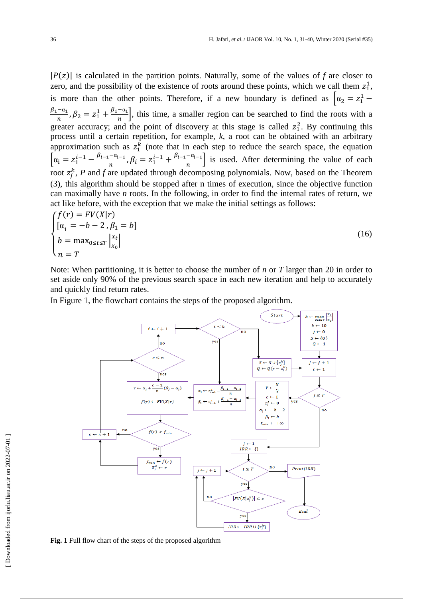$|P(z)|$  is calculated in the partition points. Naturally, some of the values of f are closer to zero, and the possibility of the existence of roots around these points, which we call them  $z_1^1$ , is more than the other points. Therefore, if a new boundary is defined as  $\alpha_2 = z_1^1$  $\beta_1 - \alpha_1$  $\frac{-\alpha_1}{n}, \beta_2 = z_1^1 + \frac{\beta_1 - \alpha_1}{n}$  $\left[\frac{-a_1}{n}\right]$ , this time, a smaller region can be searched to find the roots with a greater accuracy; and the point of discovery at this stage is called  $z_1^2$ . By continuing this process until a certain repetition, for example, *k*, a root can be obtained with an arbitrary approximation such as  $z_1^k$  (note that in each step to reduce the search space, the equation  $\alpha_i = z_1^{i-1} - \frac{\beta_{i-1} - \alpha_i}{n}$  $\frac{-a_{i-1}}{n}, \beta_i = z_1^{i-1} + \frac{\beta_{i-1}-a_i}{n}$  $\left[\frac{-a_{i-1}}{n}\right]$  is used. After determining the value of each root  $z_i^k$ , P and f are updated through decomposing polynomials. Now, based on the Theorem (3), this algorithm should be stopped after n times of execution, since the objective function can maximally have *n* roots. In the following, in order to find the internal rates of return, we act like before, with the exception that we make the initial settings as follows:  $f(f(x))$  $PIUVL$ 

$$
\begin{cases}\nJ(t) = FV(A|t) \\
[\alpha_1 = -b - 2, \beta_1 = b] \\
b = \max_{0 \le t \le T} \left| \frac{x_t}{x_0} \right| \\
n = T\n\end{cases}
$$
\n(16)

Note: When partitioning, it is better to choose the number of *n* or *T* larger than 20 in order to set aside only 90% of the previous search space in each new iteration and help to accurately and quickly find return rates.

In Figure 1, the flowchart contains the steps of the proposed algorithm.



**Fig. 1** Full flow chart of the steps of the proposed algorithm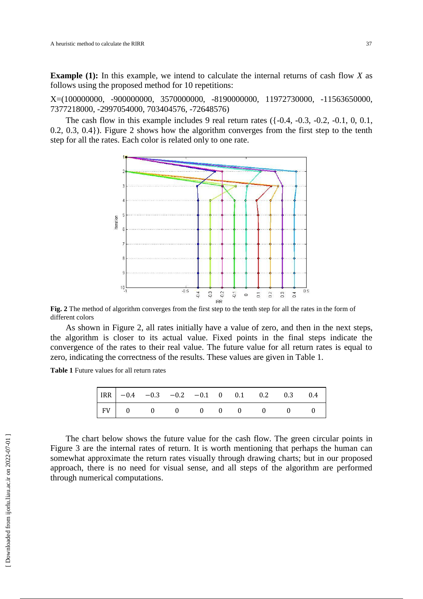**Example (1):** In this example, we intend to calculate the internal returns of cash flow *X* as follows using the proposed method for 10 repetitions:

X=(100000000, -900000000, 3570000000, -8190000000, 11972730000, -11563650000, 7377218000, -2997054000, 703404576, -72648576)

The cash flow in this example includes 9 real return rates  $(-0.4, -0.3, -0.2, -0.1, 0, 0.1,$ 0.2, 0.3, 0.4}). Figure 2 shows how the algorithm converges from the first step to the tenth step for all the rates. Each color is related only to one rate.



**Fig. 2** The method of algorithm converges from the first step to the tenth step for all the rates in the form of different colors

As shown in Figure 2, all rates initially have a value of zero, and then in the next steps, the algorithm is closer to its actual value. Fixed points in the final steps indicate the convergence of the rates to their real value. The future value for all return rates is equal to zero, indicating the correctness of the results. These values are given in Table 1.

**Table 1** Future values for all return rates

|  |  |  |  | $\begin{tabular}{ c cccc cccc } \hline IRR & -0.4 & -0.3 & -0.2 & -0.1 & 0 & 0.1 & 0.2 & 0.3 & 0.4 \ \hline FV & 0 & 0 & 0 & 0 & 0 & 0 & 0 & 0 \ \hline \end{tabular}$ |  |
|--|--|--|--|------------------------------------------------------------------------------------------------------------------------------------------------------------------------|--|
|  |  |  |  |                                                                                                                                                                        |  |

The chart below shows the future value for the cash flow. The green circular points in Figure 3 are the internal rates of return. It is worth mentioning that perhaps the human can somewhat approximate the return rates visually through drawing charts; but in our proposed approach, there is no need for visual sense, and all steps of the algorithm are performed through numerical computations.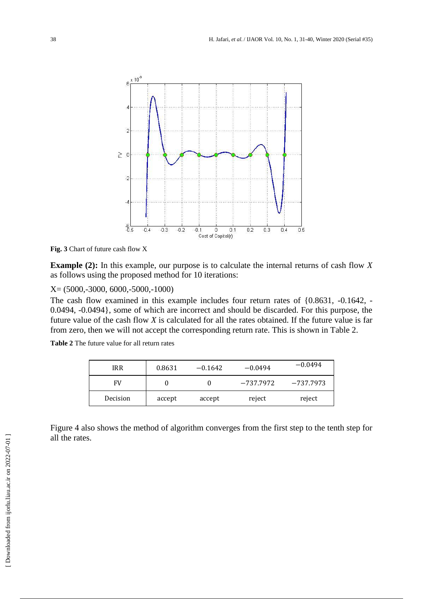

**Fig. 3** Chart of future cash flow X

**Example (2):** In this example, our purpose is to calculate the internal returns of cash flow *X* as follows using the proposed method for 10 iterations:

X= (5000,-3000, 6000,-5000,-1000)

The cash flow examined in this example includes four return rates of {0.8631, -0.1642, - 0.0494, -0.0494}, some of which are incorrect and should be discarded. For this purpose, the future value of the cash flow *X* is calculated for all the rates obtained. If the future value is far from zero, then we will not accept the corresponding return rate. This is shown in Table 2.

**Table 2** The future value for all return rates

| <b>IRR</b> | 0.8631 | $-0.1642$ | $-0.0494$ | $-0.0494$ |  |
|------------|--------|-----------|-----------|-----------|--|
| FV         |        |           | -737.7972 | -737.7973 |  |
| Decision   | accept | accept    | reject    | reject    |  |

Figure 4 also shows the method of algorithm converges from the first step to the tenth step for all the rates.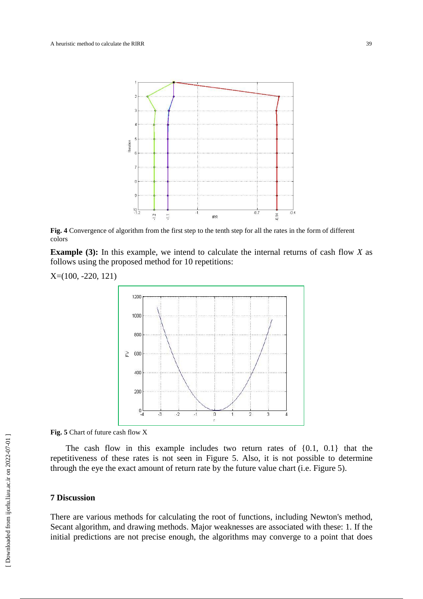

**Fig. 4** Convergence of algorithm from the first step to the tenth step for all the rates in the form of different colors

**Example (3):** In this example, we intend to calculate the internal returns of cash flow *X* as follows using the proposed method for 10 repetitions:

X=(100, -220, 121)



**Fig. 5** Chart of future cash flow X

The cash flow in this example includes two return rates of {0.1, 0.1} that the repetitiveness of these rates is not seen in Figure 5. Also, it is not possible to determine through the eye the exact amount of return rate by the future value chart (i.e. Figure 5).

## **7 Discussion**

There are various methods for calculating the root of functions, including Newton's method, Secant algorithm, and drawing methods. Major weaknesses are associated with these: 1. If the initial predictions are not precise enough, the algorithms may converge to a point that does